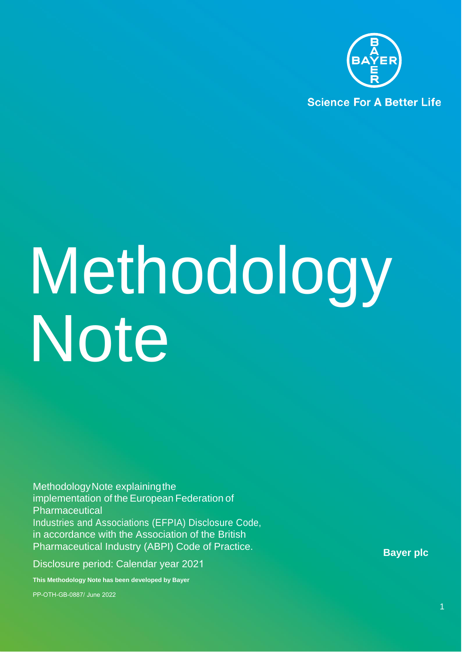

**Science For A Better Life** 

# Methodology Note

Methodology Note explaining the implementation of the European Federation of Pharmaceutical Industries and Associations (EFPIA) Disclosure Code, in accordance with the Association of the British Pharmaceutical Industry (ABPI) Code of Practice.

Disclosure period: Calendar year 2021

**This Methodology Note has been developed by Bayer** 

PP-OTH-GB-0887/ June 2022

**Bayer plc**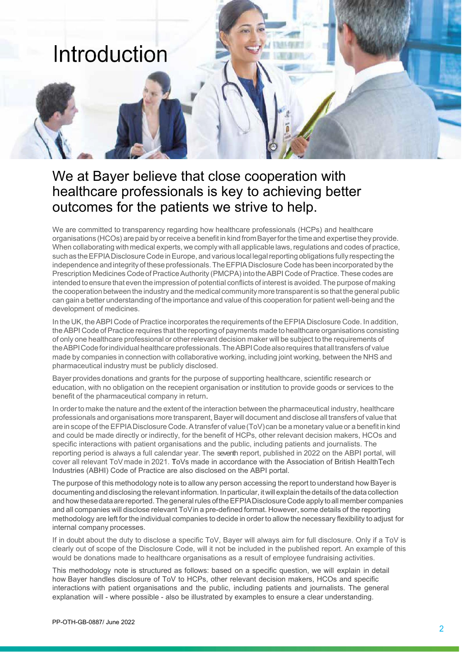

# We at Bayer believe that close cooperation with healthcare professionals is key to achieving better outcomes for the patients we strive to help.

We are committed to transparency regarding how healthcare professionals (HCPs) and healthcare organisations (HCOs) are paid byor receive a benefit in kind from Bayer for the time and expertise they provide. When collaborating with medical experts, we comply with all applicable laws, regulations and codes of practice, such as the EFPIA Disclosure Code in Europe, and various local legal reporting obligations fully respecting the independence and integrity of these professionals. The EFPIA Disclosure Code has been incorporated by the Prescription Medicines Code of Practice Authority (PMCPA) into the ABPI Code of Practice. These codes are intended toensure that even the impression of potential conflicts of interest is avoided. The purpose of making the cooperation between the industry and the medical community more transparent is so that the general public can gain a better understanding of the importance and value of this cooperation for patient well-being and the development of medicines.

In the UK, the ABPI Code of Practice incorporates the requirements of the EFPIA Disclosure Code. In addition, the ABPI Code of Practice requires that the reporting of payments made to healthcare organisations consisting of only one healthcare professional or other relevant decision maker will be subject to the requirements of the ABPICode for individual healthcare professionals. The ABPI Code also requires that all transfers of value made by companies in connection with collaborative working, including joint working, between the NHS and pharmaceutical industry must be publicly disclosed.

Bayer provides donations and grants for the purpose of supporting healthcare, scientific research or education, with no obligation on the recepient organisation or institution to provide goods or services to the benefit of the pharmaceutical company in return.

In order to make the nature and the extent of the interaction between the pharmaceutical industry, healthcare professionals and organisations more transparent, Bayer will document and disclose all transfers of value that are in scope of the EFPIA Disclosure Code. A transfer of value (ToV) can be a monetary value or a benefit in kind and could be made directly or indirectly, for the benefit of HCPs, other relevant decision makers, HCOs and specific interactions with patient organisations and the public, including patients and journalists. The reporting period is always a full calendar year. The seventh report, published in 2022 on the ABPI portal, will cover all relevant ToV made in 2021. ToVs made in accordance with the Association of British HealthTech Industries (ABHI) Code of Practice are also disclosed on the ABPI portal.

The purpose of this methodology note is to allow any person accessing the report to understand how Bayer is documenting anddisclosing the relevant information. Inparticular, itwillexplain the details of the data collection and how these data are reported. The general rules of the EFPIA Disclosure Code apply to all member companies and all companies will disclose relevant ToV in a pre-defined format. However, some details of the reporting methodology are left for the individual companies to decide in order to allow the necessary flexibility to adjust for internal company processes.

If in doubt about the duty to disclose a specific ToV, Bayer will always aim for full disclosure. Only if a ToV is clearly out of scope of the Disclosure Code, will it not be included in the published report. An example of this would be donations made to healthcare organisations as a result of employee fundraising activities.

This methodology note is structured as follows: based on a specific question, we will explain in detail how Bayer handles disclosure of ToV to HCPs, other relevant decision makers, HCOs and specific interactions with patient organisations and the public, including patients and journalists. The general explanation will - where possible - also be illustrated by examples to ensure a clear understanding.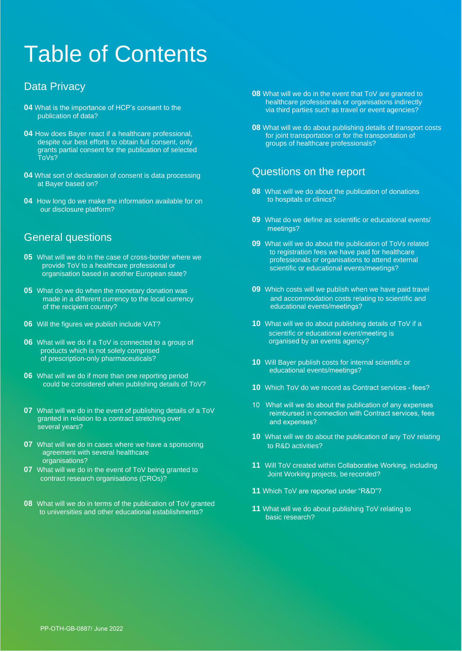# Table of Contents

# Data Privacy

- **04** What is the importance of HCP's consent to the publication of data?
- **04** How does Bayer react if a healthcare professional, despite our best efforts to obtain full consent, only grants partial consent for the publication of selected ToVs?
- **04** What sort of declaration of consent is data processing at Bayer based on?
- **04** How long do we make the information available for on our disclosure platform?

# General questions

- **05** What will we do in the case of cross-border where we provide ToV to a healthcare professional or organisation based in another European state?
- **05** What do we do when the monetary donation was made in a different currency to the local currency of the recipient country?
- **06** Will the figures we publish include VAT?
- **06** What will we do if a ToV is connected to a group of products which is not solely comprised of prescription-only pharmaceuticals?
- **06** What will we do if more than one reporting period could be considered when publishing details of ToV?
- **07** What will we do in the event of publishing details of a ToV granted in relation to a contract stretching over several years?
- **07** What will we do in cases where we have a sponsoring agreement with several healthcare organisations?
- **07** What will we do in the event of ToV being granted to contract research organisations (CROs)?
- **08** What will we do in terms of the publication of ToV granted to universities and other educational establishments?
- **08** What will we do in the event that ToV are granted to healthcare professionals or organisations indirectly via third parties such as travel or event agencies?
- **08** What will we do about publishing details of transport costs for joint transportation or for the transportation of groups of healthcare professionals?

# Questions on the report

- **08** What will we do about the publication of donations to hospitals or clinics?
- **09** What do we define as scientific or educational events/ meetings?
- **09** What will we do about the publication of ToVs related to registration fees we have paid for healthcare professionals or organisations to attend external scientific or educational events/meetings?
- **09** Which costs will we publish when we have paid travel and accommodation costs relating to scientific and educational events/meetings?
- **10** What will we do about publishing details of ToV if a scientific or educational event/meeting is organised by an events agency?
- **10** Will Bayer publish costs for internal scientific or educational events/meetings?
- **10** Which ToV do we record as Contract services fees?
- 10 What will we do about the publication of any expenses reimbursed in connection with Contract services, fees and expenses?
- **10** What will we do about the publication of any ToV relating to R&D activities?
- **11** Will ToV created within Collaborative Working, including Joint Working projects, be recorded?
- **11** Which ToV are reported under "R&D"?
- **11** What will we do about publishing ToV relating to basic research?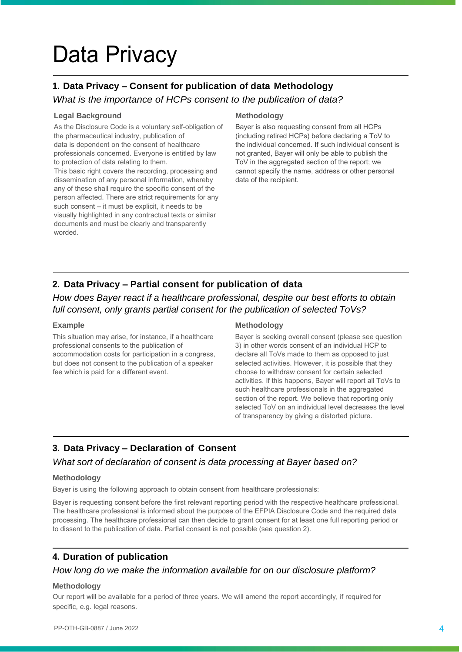# Data Privacy

# **1. Data Privacy – Consent for publication of data Methodology**

## *What is the importance of HCPs consent to the publication of data?*

#### **Legal Background**

As the Disclosure Code is a voluntary self-obligation of the pharmaceutical industry, publication of data is dependent on the consent of healthcare professionals concerned. Everyone is entitled by law to protection of data relating to them.

This basic right covers the recording, processing and dissemination of any personal information, whereby any of these shall require the specific consent of the person affected. There are strict requirements for any such consent – it must be explicit, it needs to be visually highlighted in any contractual texts or similar documents and must be clearly and transparently worded.

#### **Methodology**

Bayer is also requesting consent from all HCPs (including retired HCPs) before declaring a ToV to the individual concerned. If such individual consent is not granted, Bayer will only be able to publish the ToV in the aggregated section of the report; we cannot specify the name, address or other personal data of the recipient.

# **2. Data Privacy – Partial consent for publication of data**

*How does Bayer react if a healthcare professional, despite our best efforts to obtain full consent, only grants partial consent for the publication of selected ToVs?*

#### **Example**

This situation may arise, for instance, if a healthcare professional consents to the publication of accommodation costs for participation in a congress, but does not consent to the publication of a speaker fee which is paid for a different event.

#### **Methodology**

Bayer is seeking overall consent (please see question 3) in other words consent of an individual HCP to declare all ToVs made to them as opposed to just selected activities. However, it is possible that they choose to withdraw consent for certain selected activities. If this happens, Bayer will report all ToVs to such healthcare professionals in the aggregated section of the report. We believe that reporting only selected ToV on an individual level decreases the level of transparency by giving a distorted picture.

# **3. Data Privacy – Declaration of Consent**

#### *What sort of declaration of consent is data processing at Bayer based on?*

#### **Methodology**

Bayer is using the following approach to obtain consent from healthcare professionals:

Bayer is requesting consent before the first relevant reporting period with the respective healthcare professional. The healthcare professional is informed about the purpose of the EFPIA Disclosure Code and the required data processing. The healthcare professional can then decide to grant consent for at least one full reporting period or to dissent to the publication of data. Partial consent is not possible (see question 2).

# **4. Duration of publication**

## *How long do we make the information available for on our disclosure platform?*

#### **Methodology**

Our report will be available for a period of three years. We will amend the report accordingly, if required for specific, e.g. legal reasons.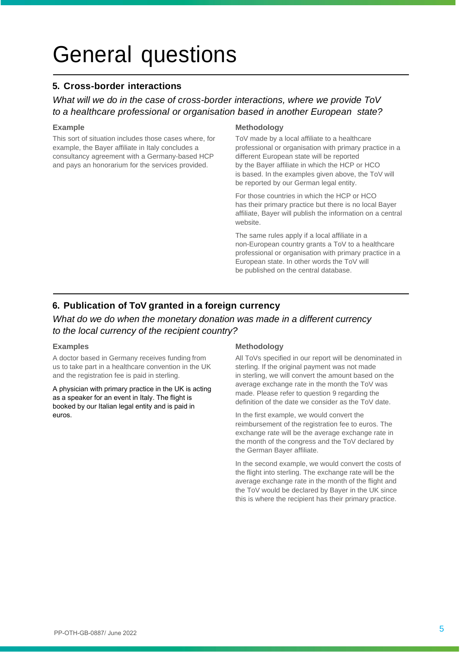# General questions

# **5. Cross-border interactions**

# *What will we do in the case of cross-border interactions, where we provide ToV to a healthcare professional or organisation based in another European state?*

#### **Example**

This sort of situation includes those cases where, for example, the Bayer affiliate in Italy concludes a consultancy agreement with a Germany-based HCP and pays an honorarium for the services provided.

#### **Methodology**

ToV made by a local affiliate to a healthcare professional or organisation with primary practice in a different European state will be reported by the Bayer affiliate in which the HCP or HCO is based. In the examples given above, the ToV will be reported by our German legal entity.

For those countries in which the HCP or HCO has their primary practice but there is no local Bayer affiliate, Bayer will publish the information on a central website.

The same rules apply if a local affiliate in a non-European country grants a ToV to a healthcare professional or organisation with primary practice in a European state. In other words the ToV will be published on the central database.

# **6. Publication of ToV granted in a foreign currency**

# *What do we do when the monetary donation was made in a different currency to the local currency of the recipient country?*

#### **Examples**

A doctor based in Germany receives funding from us to take part in a healthcare convention in the UK and the registration fee is paid in sterling.

A physician with primary practice in the UK is acting as a speaker for an event in Italy. The flight is booked by our Italian legal entity and is paid in euros.

#### **Methodology**

All ToVs specified in our report will be denominated in sterling. If the original payment was not made in sterling, we will convert the amount based on the average exchange rate in the month the ToV was made. Please refer to question 9 regarding the definition of the date we consider as the ToV date.

In the first example, we would convert the reimbursement of the registration fee to euros. The exchange rate will be the average exchange rate in the month of the congress and the ToV declared by the German Bayer affiliate.

In the second example, we would convert the costs of the flight into sterling. The exchange rate will be the average exchange rate in the month of the flight and the ToV would be declared by Bayer in the UK since this is where the recipient has their primary practice.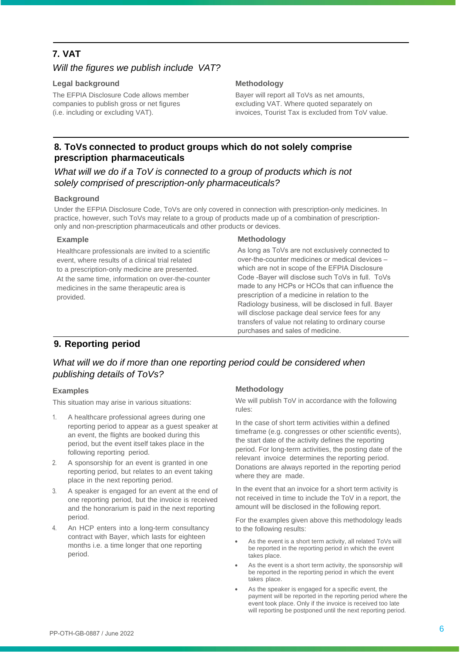# **7. VAT**

## *Will the figures we publish include VAT?*

#### **Legal background**

The EFPIA Disclosure Code allows member companies to publish gross or net figures (i.e. including or excluding VAT).

#### **Methodology**

Bayer will report all ToVs as net amounts, excluding VAT. Where quoted separately on invoices, Tourist Tax is excluded from ToV value.

# **8. ToVs connected to product groups which do not solely comprise prescription pharmaceuticals**

What will we do if a ToV is connected to a group of products which is not *solely comprised of prescription-only pharmaceuticals?* 

#### **Background**

Under the EFPIA Disclosure Code, ToVs are only covered in connection with prescription-only medicines. In practice, however, such ToVs may relate to a group of products made up of a combination of prescriptiononly and non-prescription pharmaceuticals and other products or devices.

#### **Example**

Healthcare professionals are invited to a scientific event, where results of a clinical trial related to a prescription-only medicine are presented. At the same time, information on over-the-counter medicines in the same therapeutic area is provided.

#### **Methodology**

As long as ToVs are not exclusively connected to over-the-counter medicines or medical devices – which are not in scope of the EFPIA Disclosure Code -Bayer will disclose such ToVs in full. ToVs made to any HCPs or HCOs that can influence the prescription of a medicine in relation to the Radiology business, will be disclosed in full. Bayer will disclose package deal service fees for any transfers of value not relating to ordinary course purchases and sales of medicine.

# **9. Reporting period**

# What will we do if more than one reporting period could be considered when *publishing details of ToVs?*

#### **Examples**

This situation may arise in various situations:

- 1. A healthcare professional agrees during one reporting period to appear as a guest speaker at an event, the flights are booked during this period, but the event itself takes place in the following reporting period.
- 2. A sponsorship for an event is granted in one reporting period, but relates to an event taking place in the next reporting period.
- A speaker is engaged for an event at the end of one reporting period, but the invoice is received and the honorarium is paid in the next reporting period.
- 4. An HCP enters into a long-term consultancy contract with Bayer, which lasts for eighteen months i.e. a time longer that one reporting period.

#### **Methodology**

We will publish ToV in accordance with the following rules:

In the case of short term activities within a defined timeframe (e.g. congresses or other scientific events), the start date of the activity defines the reporting period. For long-term activities, the posting date of the relevant invoice determines the reporting period. Donations are always reported in the reporting period where they are made.

In the event that an invoice for a short term activity is not received in time to include the ToV in a report, the amount will be disclosed in the following report.

For the examples given above this methodology leads to the following results:

- As the event is a short term activity, all related ToVs will be reported in the reporting period in which the event takes place.
- As the event is a short term activity, the sponsorship will be reported in the reporting period in which the event takes place.
- As the speaker is engaged for a specific event, the payment will be reported in the reporting period where the event took place. Only if the invoice is received too late will reporting be postponed until the next reporting period.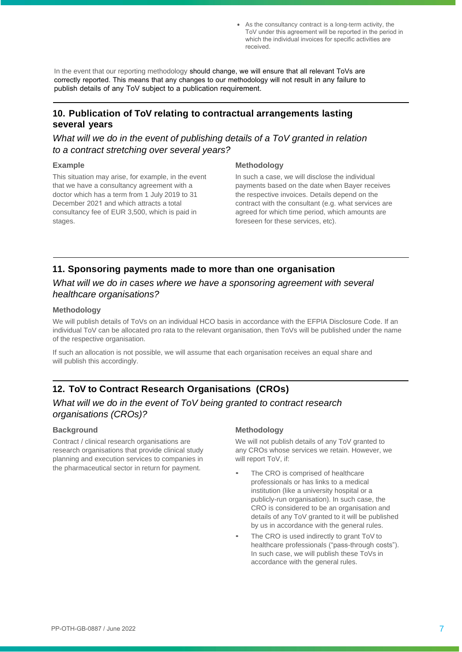• As the consultancy contract is a long-term activity, the ToV under this agreement will be reported in the period in which the individual invoices for specific activities are received.

In the event that our reporting methodology should change, we will ensure that all relevant ToVs are correctly reported. This means that any changes to our methodology will not result in any failure to publish details of any ToV subject to a publication requirement.

# **10. Publication of ToV relating to contractual arrangements lasting several years**

# *What will we do in the event of publishing details of a ToV granted in relation to a contract stretching over several years?*

#### **Example**

This situation may arise, for example, in the event that we have a consultancy agreement with a doctor which has a term from 1 July 2019 to 31 December 2021 and which attracts a total consultancy fee of EUR 3,500, which is paid in stages.

#### **Methodology**

In such a case, we will disclose the individual payments based on the date when Bayer receives the respective invoices. Details depend on the contract with the consultant (e.g. what services are agreed for which time period, which amounts are foreseen for these services, etc).

# **11. Sponsoring payments made to more than one organisation**

## What will we do in cases where we have a sponsoring agreement with several *healthcare organisations?*

#### **Methodology**

We will publish details of ToVs on an individual HCO basis in accordance with the EFPIA Disclosure Code. If an individual ToV can be allocated pro rata to the relevant organisation, then ToVs will be published under the name of the respective organisation.

If such an allocation is not possible, we will assume that each organisation receives an equal share and will publish this accordingly.

# **12. ToV to Contract Research Organisations (CROs)**

# *What will we do in the event of ToV being granted to contract research organisations (CROs)?*

#### **Background**

Contract / clinical research organisations are research organisations that provide clinical study planning and execution services to companies in the pharmaceutical sector in return for payment.

#### **Methodology**

We will not publish details of any ToV granted to any CROs whose services we retain. However, we will report ToV, if:

- The CRO is comprised of healthcare professionals or has links to a medical institution (like a university hospital or a publicly-run organisation). In such case, the CRO is considered to be an organisation and details of any ToV granted to it will be published by us in accordance with the general rules.
- The CRO is used indirectly to grant ToV to healthcare professionals ("pass-through costs"). In such case, we will publish these ToVs in accordance with the general rules.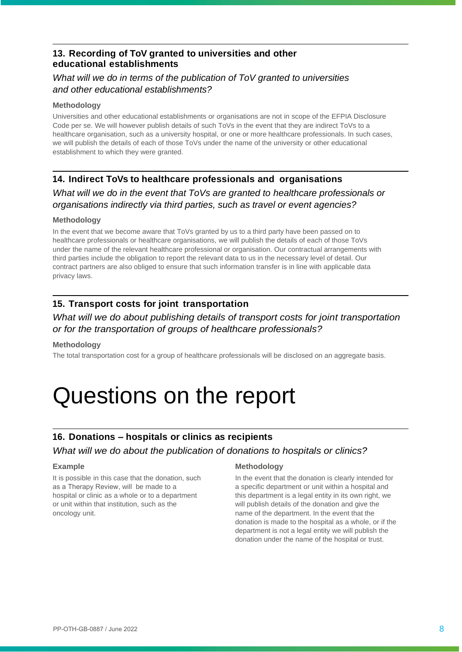# **13. Recording of ToV granted to universities and other educational establishments**

# *What will we do in terms of the publication of ToV granted to universities and other educational establishments?*

#### **Methodology**

Universities and other educational establishments or organisations are not in scope of the EFPIA Disclosure Code per se. We will however publish details of such ToVs in the event that they are indirect ToVs to a healthcare organisation, such as a university hospital, or one or more healthcare professionals. In such cases, we will publish the details of each of those ToVs under the name of the university or other educational establishment to which they were granted.

## **14. Indirect ToVs to healthcare professionals and organisations**

*What will we do in the event that ToVs are granted to healthcare professionals or organisations indirectly via third parties, such as travel or event agencies?* 

#### **Methodology**

In the event that we become aware that ToVs granted by us to a third party have been passed on to healthcare professionals or healthcare organisations, we will publish the details of each of those ToVs under the name of the relevant healthcare professional or organisation. Our contractual arrangements with third parties include the obligation to report the relevant data to us in the necessary level of detail. Our contract partners are also obliged to ensure that such information transfer is in line with applicable data privacy laws.

# **15. Transport costs for joint transportation**

# *What will we do about publishing details of transport costs for joint transportation or for the transportation of groups of healthcare professionals?*

#### **Methodology**

The total transportation cost for a group of healthcare professionals will be disclosed on an aggregate basis.

# Questions on the report

# **16. Donations – hospitals or clinics as recipients**

*What will we do about the publication of donations to hospitals or clinics?*

#### **Example**

It is possible in this case that the donation, such as a Therapy Review, will be made to a hospital or clinic as a whole or to a department or unit within that institution, such as the oncology unit.

#### **Methodology**

In the event that the donation is clearly intended for a specific department or unit within a hospital and this department is a legal entity in its own right, we will publish details of the donation and give the name of the department. In the event that the donation is made to the hospital as a whole, or if the department is not a legal entity we will publish the donation under the name of the hospital or trust.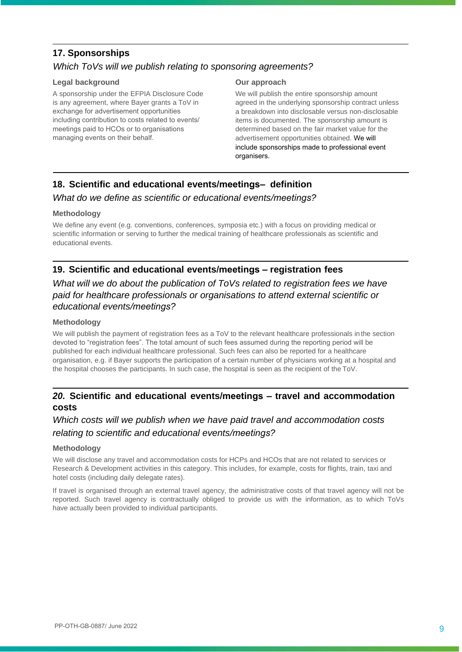# **17. Sponsorships**

# *Which ToVs will we publish relating to sponsoring agreements?*

#### **Legal background**

A sponsorship under the EFPIA Disclosure Code is any agreement, where Bayer grants a ToV in exchange for advertisement opportunities including contribution to costs related to events/ meetings paid to HCOs or to organisations managing events on their behalf.

#### **Our approach**

We will publish the entire sponsorship amount agreed in the underlying sponsorship contract unless a breakdown into disclosable versus non-disclosable items is documented. The sponsorship amount is determined based on the fair market value for the advertisement opportunities obtained. We will include sponsorships made to professional event organisers.

# **18. Scientific and educational events/meetings– definition**

## *What do we define as scientific or educational events/meetings?*

#### **Methodology**

We define any event (e.g. conventions, conferences, symposia etc.) with a focus on providing medical or scientific information or serving to further the medical training of healthcare professionals as scientific and educational events.

# **19. Scientific and educational events/meetings – registration fees**

# *What will we do about the publication of ToVs related to registration fees we have paid for healthcare professionals or organisations to attend external scientific or educational events/meetings?*

#### **Methodology**

We will publish the payment of registration fees as a ToV to the relevant healthcare professionals in the section devoted to "registration fees". The total amount of such fees assumed during the reporting period will be published for each individual healthcare professional. Such fees can also be reported for a healthcare organisation, e.g. if Bayer supports the participation of a certain number of physicians working at a hospital and the hospital chooses the participants. In such case, the hospital is seen as the recipient of the ToV.

# *20.* **Scientific and educational events/meetings – travel and accommodation costs**

# *Which costs will we publish when we have paid travel and accommodation costs relating to scientific and educational events/meetings?*

#### **Methodology**

We will disclose any travel and accommodation costs for HCPs and HCOs that are not related to services or Research & Development activities in this category. This includes, for example, costs for flights, train, taxi and hotel costs (including daily delegate rates).

If travel is organised through an external travel agency, the administrative costs of that travel agency will not be reported. Such travel agency is contractually obliged to provide us with the information, as to which ToVs have actually been provided to individual participants.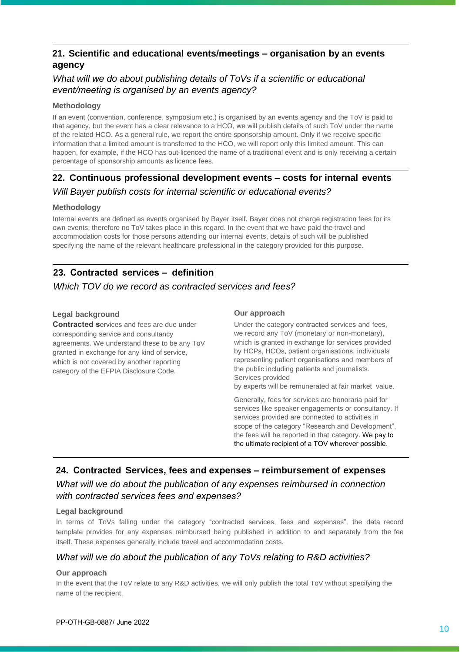# **21. Scientific and educational events/meetings – organisation by an events agency**

# *What will we do about publishing details of ToVs if a scientific or educational event/meeting is organised by an events agency?*

#### **Methodology**

If an event (convention, conference, symposium etc.) is organised by an events agency and the ToV is paid to that agency, but the event has a clear relevance to a HCO, we will publish details of such ToV under the name of the related HCO. As a general rule, we report the entire sponsorship amount. Only if we receive specific information that a limited amount is transferred to the HCO, we will report only this limited amount. This can happen, for example, if the HCO has out-licenced the name of a traditional event and is only receiving a certain percentage of sponsorship amounts as licence fees.

# **22. Continuous professional development events – costs for internal events** *Will Bayer publish costs for internal scientific or educational events?*

#### **Methodology**

Internal events are defined as events organised by Bayer itself. Bayer does not charge registration fees for its own events; therefore no ToV takes place in this regard. In the event that we have paid the travel and accommodation costs for those persons attending our internal events, details of such will be published specifying the name of the relevant healthcare professional in the category provided for this purpose.

# **23. Contracted services – definition**

## *Which TOV do we record as contracted services and fees?*

#### **Legal background**

**Contracted s**ervices and fees are due under corresponding service and consultancy agreements. We understand these to be any ToV granted in exchange for any kind of service, which is not covered by another reporting category of the EFPIA Disclosure Code.

#### **Our approach**

Under the category contracted services and fees, we record any ToV (monetary or non-monetary), which is granted in exchange for services provided by HCPs, HCOs, patient organisations, individuals representing patient organisations and members of the public including patients and journalists. Services provided

by experts will be remunerated at fair market value.

Generally, fees for services are honoraria paid for services like speaker engagements or consultancy. If services provided are connected to activities in scope of the category "Research and Development", the fees will be reported in that category. We pay to the ultimate recipient of a TOV wherever possible.

# **24. Contracted Services, fees and expenses – reimbursement of expenses** *What will we do about the publication of any expenses reimbursed in connection with contracted services fees and expenses?*

#### **Legal background**

In terms of ToVs falling under the category "contracted services, fees and expenses", the data record template provides for any expenses reimbursed being published in addition to and separately from the fee itself. These expenses generally include travel and accommodation costs.

## *What will we do about the publication of any ToVs relating to R&D activities?*

#### **Our approach**

In the event that the ToV relate to any R&D activities, we will only publish the total ToV without specifying the name of the recipient.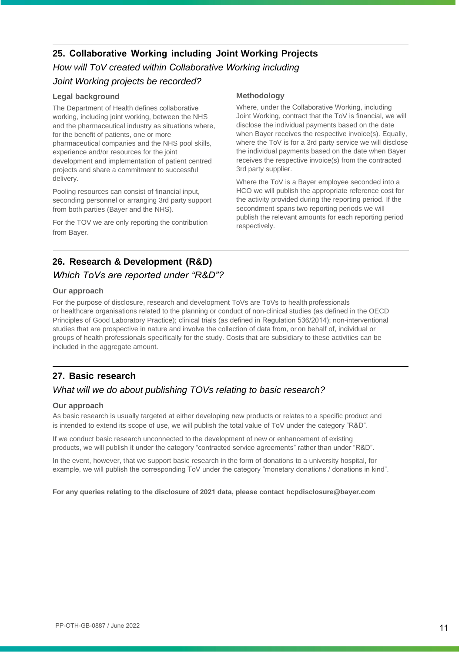# **25. Collaborative Working including Joint Working Projects**

# *How will ToV created within Collaborative Working including Joint Working projects be recorded?*

#### **Legal background**

The Department of Health defines collaborative working, including joint working, between the NHS and the pharmaceutical industry as situations where, for the benefit of patients, one or more pharmaceutical companies and the NHS pool skills, experience and/or resources for the joint development and implementation of patient centred projects and share a commitment to successful delivery.

Pooling resources can consist of financial input, seconding personnel or arranging 3rd party support from both parties (Bayer and the NHS).

For the TOV we are only reporting the contribution from Bayer.

#### **Methodology**

Where, under the Collaborative Working, including Joint Working, contract that the ToV is financial, we will disclose the individual payments based on the date when Bayer receives the respective invoice(s). Equally, where the ToV is for a 3rd party service we will disclose the individual payments based on the date when Bayer receives the respective invoice(s) from the contracted 3rd party supplier.

Where the ToV is a Bayer employee seconded into a HCO we will publish the appropriate reference cost for the activity provided during the reporting period. If the secondment spans two reporting periods we will publish the relevant amounts for each reporting period respectively.

# **26. Research & Development (R&D)**

## *Which ToVs are reported under "R&D"?*

#### **Our approach**

For the purpose of disclosure, research and development ToVs are ToVs to health professionals or healthcare organisations related to the planning or conduct of non-clinical studies (as defined in the OECD Principles of Good Laboratory Practice); clinical trials (as defined in Regulation 536/2014); non-interventional studies that are prospective in nature and involve the collection of data from, or on behalf of, individual or groups of health professionals specifically for the study. Costs that are subsidiary to these activities can be included in the aggregate amount.

# **27. Basic research**

# *What will we do about publishing TOVs relating to basic research?*

#### **Our approach**

As basic research is usually targeted at either developing new products or relates to a specific product and is intended to extend its scope of use, we will publish the total value of ToV under the category "R&D".

If we conduct basic research unconnected to the development of new or enhancement of existing products, we will publish it under the category "contracted service agreements" rather than under "R&D".

In the event, however, that we support basic research in the form of donations to a university hospital, for example, we will publish the corresponding ToV under the category "monetary donations / donations in kind".

#### **For any queries relating to the disclosure of 2021 data, please contact hc[pdisclosure@bayer.com](mailto:sclosure@bayer.com)**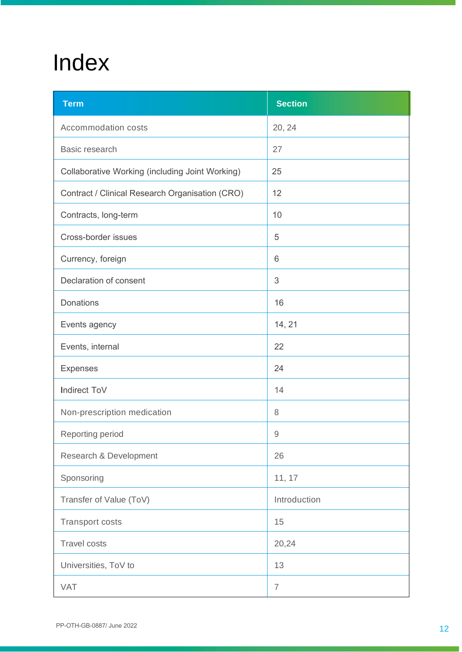# Index

| <b>Term</b>                                     | <b>Section</b> |
|-------------------------------------------------|----------------|
| Accommodation costs                             | 20, 24         |
| Basic research                                  | 27             |
| Collaborative Working (including Joint Working) | 25             |
| Contract / Clinical Research Organisation (CRO) | 12             |
| Contracts, long-term                            | 10             |
| Cross-border issues                             | 5              |
| Currency, foreign                               | 6              |
| Declaration of consent                          | $\sqrt{3}$     |
| <b>Donations</b>                                | 16             |
| Events agency                                   | 14, 21         |
| Events, internal                                | 22             |
| <b>Expenses</b>                                 | 24             |
| Indirect ToV                                    | 14             |
| Non-prescription medication                     | 8              |
| Reporting period                                | 9              |
| Research & Development                          | 26             |
| Sponsoring                                      | 11, 17         |
| Transfer of Value (ToV)                         | Introduction   |
| <b>Transport costs</b>                          | 15             |
| <b>Travel costs</b>                             | 20,24          |
| Universities, ToV to                            | 13             |
| <b>VAT</b>                                      | $\overline{7}$ |